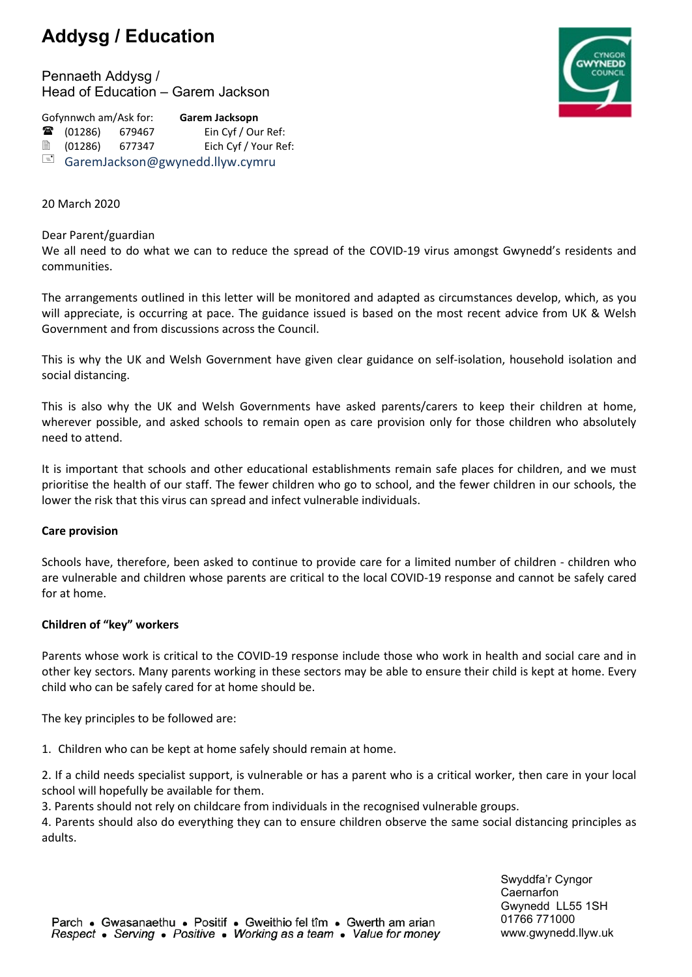# **Addysg / Education**

Pennaeth Addysg / Head of Education – Garem Jackson



Gofynnwch am/Ask for: **Garem Jacksopn ■** (01286) 679467 Ein Cyf / Our Ref: (01286) 677347 Eich Cyf / Your Ref: GaremJackson@gwynedd.llyw.cymru

## 20 March 2020

#### Dear Parent/guardian

We all need to do what we can to reduce the spread of the COVID-19 virus amongst Gwynedd's residents and communities.

The arrangements outlined in this letter will be monitored and adapted as circumstances develop, which, as you will appreciate, is occurring at pace. The guidance issued is based on the most recent advice from UK & Welsh Government and from discussions across the Council.

This is why the UK and Welsh Government have given clear guidance on self-isolation, household isolation and social distancing.

This is also why the UK and Welsh Governments have asked parents/carers to keep their children at home, wherever possible, and asked schools to remain open as care provision only for those children who absolutely need to attend.

It is important that schools and other educational establishments remain safe places for children, and we must prioritise the health of our staff. The fewer children who go to school, and the fewer children in our schools, the lower the risk that this virus can spread and infect vulnerable individuals.

#### **Care provision**

Schools have, therefore, been asked to continue to provide care for a limited number of children - children who are vulnerable and children whose parents are critical to the local COVID-19 response and cannot be safely cared for at home.

#### **Children of "key" workers**

Parents whose work is critical to the COVID-19 response include those who work in health and social care and in other key sectors. Many parents working in these sectors may be able to ensure their child is kept at home. Every child who can be safely cared for at home should be.

The key principles to be followed are:

1. Children who can be kept at home safely should remain at home.

2. If a child needs specialist support, is vulnerable or has a parent who is a critical worker, then care in your local school will hopefully be available for them.

3. Parents should not rely on childcare from individuals in the recognised vulnerable groups.

4. Parents should also do everything they can to ensure children observe the same social distancing principles as adults.

> Swyddfa'r Cyngor **Caernarfon** Gwynedd LL55 1SH 01766 771000 www.gwynedd.llyw.uk